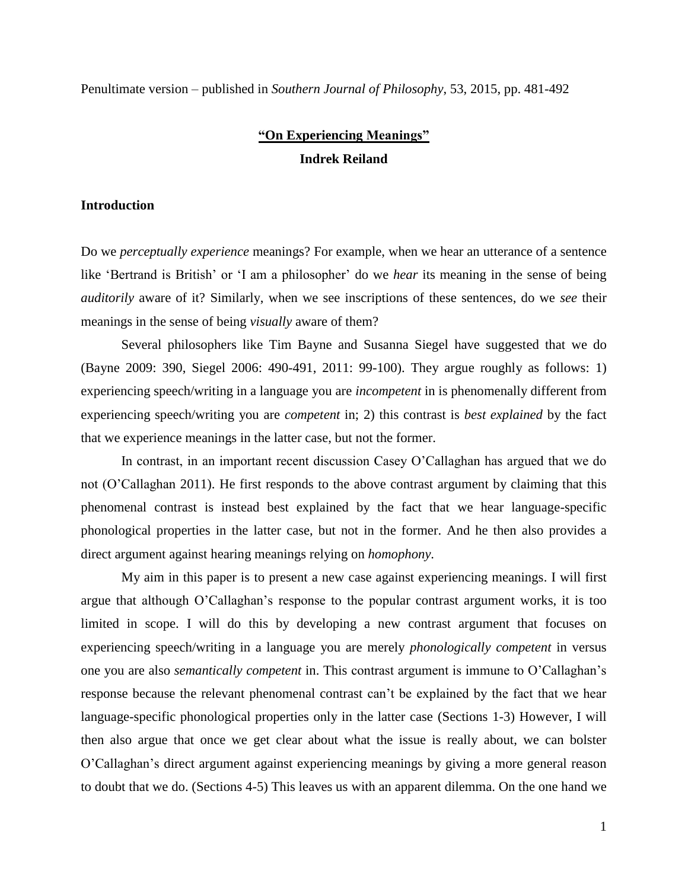Penultimate version – published in *Southern Journal of Philosophy*, 53, 2015, pp. 481-492

# **"On Experiencing Meanings" Indrek Reiland**

# **Introduction**

Do we *perceptually experience* meanings? For example, when we hear an utterance of a sentence like 'Bertrand is British' or 'I am a philosopher' do we *hear* its meaning in the sense of being *auditorily* aware of it? Similarly, when we see inscriptions of these sentences, do we *see* their meanings in the sense of being *visually* aware of them?

Several philosophers like Tim Bayne and Susanna Siegel have suggested that we do (Bayne 2009: 390, Siegel 2006: 490-491, 2011: 99-100). They argue roughly as follows: 1) experiencing speech/writing in a language you are *incompetent* in is phenomenally different from experiencing speech/writing you are *competent* in; 2) this contrast is *best explained* by the fact that we experience meanings in the latter case, but not the former.

In contrast, in an important recent discussion Casey O'Callaghan has argued that we do not (O'Callaghan 2011). He first responds to the above contrast argument by claiming that this phenomenal contrast is instead best explained by the fact that we hear language-specific phonological properties in the latter case, but not in the former. And he then also provides a direct argument against hearing meanings relying on *homophony*.

My aim in this paper is to present a new case against experiencing meanings. I will first argue that although O'Callaghan's response to the popular contrast argument works, it is too limited in scope. I will do this by developing a new contrast argument that focuses on experiencing speech/writing in a language you are merely *phonologically competent* in versus one you are also *semantically competent* in. This contrast argument is immune to O'Callaghan's response because the relevant phenomenal contrast can't be explained by the fact that we hear language-specific phonological properties only in the latter case (Sections 1-3) However, I will then also argue that once we get clear about what the issue is really about, we can bolster O'Callaghan's direct argument against experiencing meanings by giving a more general reason to doubt that we do. (Sections 4-5) This leaves us with an apparent dilemma. On the one hand we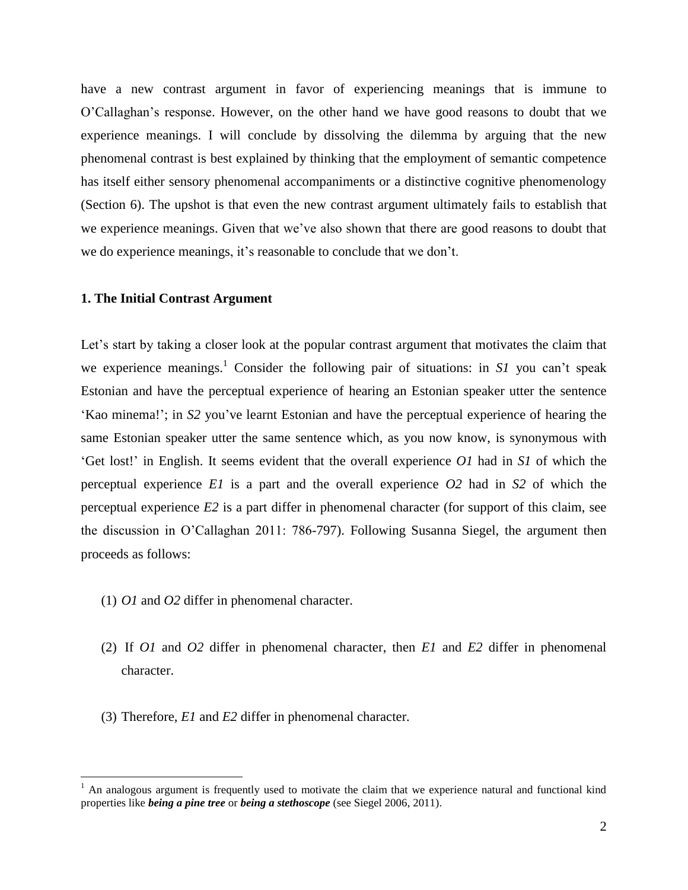have a new contrast argument in favor of experiencing meanings that is immune to O'Callaghan's response. However, on the other hand we have good reasons to doubt that we experience meanings. I will conclude by dissolving the dilemma by arguing that the new phenomenal contrast is best explained by thinking that the employment of semantic competence has itself either sensory phenomenal accompaniments or a distinctive cognitive phenomenology (Section 6). The upshot is that even the new contrast argument ultimately fails to establish that we experience meanings. Given that we've also shown that there are good reasons to doubt that we do experience meanings, it's reasonable to conclude that we don't.

## **1. The Initial Contrast Argument**

Let's start by taking a closer look at the popular contrast argument that motivates the claim that we experience meanings.<sup>1</sup> Consider the following pair of situations: in  $SI$  you can't speak Estonian and have the perceptual experience of hearing an Estonian speaker utter the sentence 'Kao minema!'; in *S2* you've learnt Estonian and have the perceptual experience of hearing the same Estonian speaker utter the same sentence which, as you now know, is synonymous with 'Get lost!' in English. It seems evident that the overall experience *O1* had in *S1* of which the perceptual experience *E1* is a part and the overall experience *O2* had in *S2* of which the perceptual experience *E2* is a part differ in phenomenal character (for support of this claim, see the discussion in O'Callaghan 2011: 786-797). Following Susanna Siegel, the argument then proceeds as follows:

(1) *O1* and *O2* differ in phenomenal character.

 $\overline{a}$ 

- (2) If *O1* and *O2* differ in phenomenal character, then *E1* and *E2* differ in phenomenal character.
- (3) Therefore, *E1* and *E2* differ in phenomenal character.

 $<sup>1</sup>$  An analogous argument is frequently used to motivate the claim that we experience natural and functional kind</sup> properties like *being a pine tree* or *being a stethoscope* (see Siegel 2006, 2011).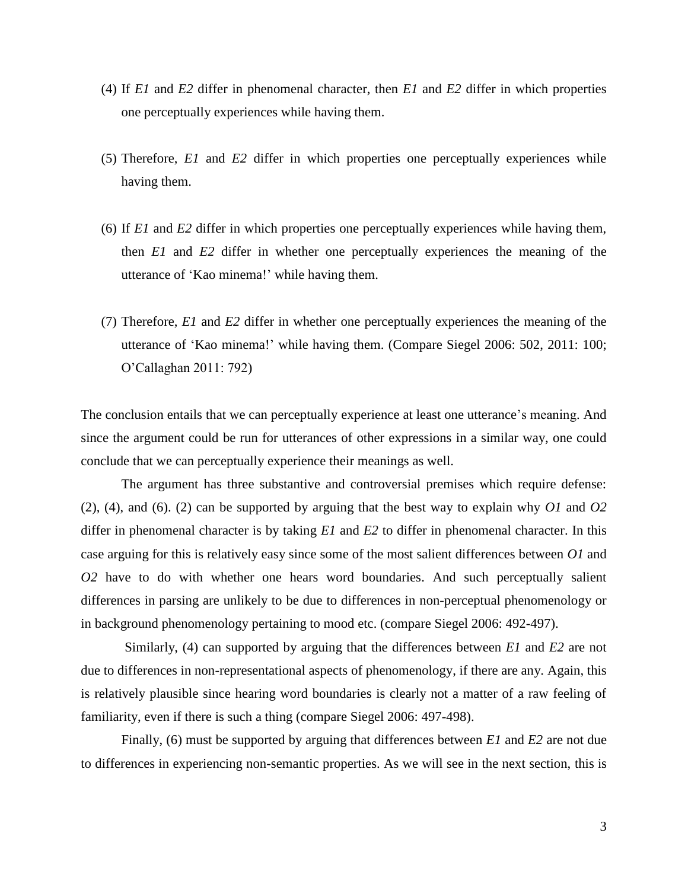- (4) If *E1* and *E2* differ in phenomenal character, then *E1* and *E2* differ in which properties one perceptually experiences while having them.
- (5) Therefore, *E1* and *E2* differ in which properties one perceptually experiences while having them.
- (6) If *E1* and *E2* differ in which properties one perceptually experiences while having them, then *E1* and *E2* differ in whether one perceptually experiences the meaning of the utterance of 'Kao minema!' while having them.
- (7) Therefore, *E1* and *E2* differ in whether one perceptually experiences the meaning of the utterance of 'Kao minema!' while having them. (Compare Siegel 2006: 502, 2011: 100; O'Callaghan 2011: 792)

The conclusion entails that we can perceptually experience at least one utterance's meaning. And since the argument could be run for utterances of other expressions in a similar way, one could conclude that we can perceptually experience their meanings as well.

The argument has three substantive and controversial premises which require defense: (2), (4), and (6). (2) can be supported by arguing that the best way to explain why *O1* and *O2*  differ in phenomenal character is by taking *E1* and *E2* to differ in phenomenal character. In this case arguing for this is relatively easy since some of the most salient differences between *O1* and *O2* have to do with whether one hears word boundaries. And such perceptually salient differences in parsing are unlikely to be due to differences in non-perceptual phenomenology or in background phenomenology pertaining to mood etc. (compare Siegel 2006: 492-497).

Similarly, (4) can supported by arguing that the differences between *E1* and *E2* are not due to differences in non-representational aspects of phenomenology, if there are any. Again, this is relatively plausible since hearing word boundaries is clearly not a matter of a raw feeling of familiarity, even if there is such a thing (compare Siegel 2006: 497-498).

Finally, (6) must be supported by arguing that differences between *E1* and *E2* are not due to differences in experiencing non-semantic properties. As we will see in the next section, this is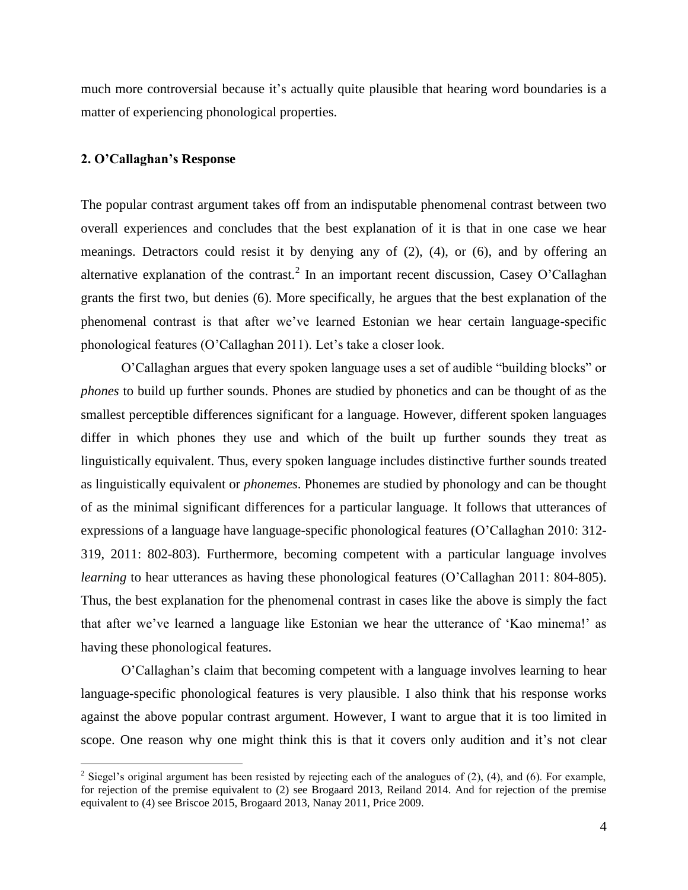much more controversial because it's actually quite plausible that hearing word boundaries is a matter of experiencing phonological properties.

## **2. O'Callaghan's Response**

 $\overline{a}$ 

The popular contrast argument takes off from an indisputable phenomenal contrast between two overall experiences and concludes that the best explanation of it is that in one case we hear meanings. Detractors could resist it by denying any of (2), (4), or (6), and by offering an alternative explanation of the contrast.<sup>2</sup> In an important recent discussion, Casey O'Callaghan grants the first two, but denies (6). More specifically, he argues that the best explanation of the phenomenal contrast is that after we've learned Estonian we hear certain language-specific phonological features (O'Callaghan 2011). Let's take a closer look.

O'Callaghan argues that every spoken language uses a set of audible "building blocks" or *phones* to build up further sounds. Phones are studied by phonetics and can be thought of as the smallest perceptible differences significant for a language. However, different spoken languages differ in which phones they use and which of the built up further sounds they treat as linguistically equivalent. Thus, every spoken language includes distinctive further sounds treated as linguistically equivalent or *phonemes*. Phonemes are studied by phonology and can be thought of as the minimal significant differences for a particular language. It follows that utterances of expressions of a language have language-specific phonological features (O'Callaghan 2010: 312- 319, 2011: 802-803). Furthermore, becoming competent with a particular language involves *learning* to hear utterances as having these phonological features (O'Callaghan 2011: 804-805). Thus, the best explanation for the phenomenal contrast in cases like the above is simply the fact that after we've learned a language like Estonian we hear the utterance of 'Kao minema!' as having these phonological features.

O'Callaghan's claim that becoming competent with a language involves learning to hear language-specific phonological features is very plausible. I also think that his response works against the above popular contrast argument. However, I want to argue that it is too limited in scope. One reason why one might think this is that it covers only audition and it's not clear

<sup>&</sup>lt;sup>2</sup> Siegel's original argument has been resisted by rejecting each of the analogues of (2), (4), and (6). For example, for rejection of the premise equivalent to (2) see Brogaard 2013, Reiland 2014. And for rejection of the premise equivalent to (4) see Briscoe 2015, Brogaard 2013, Nanay 2011, Price 2009.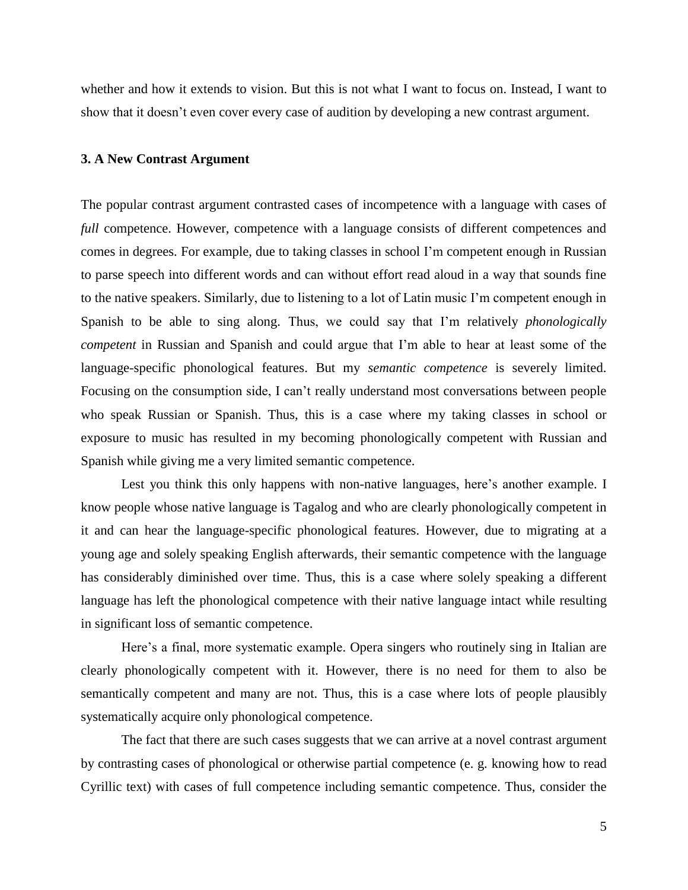whether and how it extends to vision. But this is not what I want to focus on. Instead, I want to show that it doesn't even cover every case of audition by developing a new contrast argument.

## **3. A New Contrast Argument**

The popular contrast argument contrasted cases of incompetence with a language with cases of *full* competence. However, competence with a language consists of different competences and comes in degrees. For example, due to taking classes in school I'm competent enough in Russian to parse speech into different words and can without effort read aloud in a way that sounds fine to the native speakers. Similarly, due to listening to a lot of Latin music I'm competent enough in Spanish to be able to sing along. Thus, we could say that I'm relatively *phonologically competent* in Russian and Spanish and could argue that I'm able to hear at least some of the language-specific phonological features. But my *semantic competence* is severely limited. Focusing on the consumption side, I can't really understand most conversations between people who speak Russian or Spanish. Thus, this is a case where my taking classes in school or exposure to music has resulted in my becoming phonologically competent with Russian and Spanish while giving me a very limited semantic competence.

Lest you think this only happens with non-native languages, here's another example. I know people whose native language is Tagalog and who are clearly phonologically competent in it and can hear the language-specific phonological features. However, due to migrating at a young age and solely speaking English afterwards, their semantic competence with the language has considerably diminished over time. Thus, this is a case where solely speaking a different language has left the phonological competence with their native language intact while resulting in significant loss of semantic competence.

Here's a final, more systematic example. Opera singers who routinely sing in Italian are clearly phonologically competent with it. However, there is no need for them to also be semantically competent and many are not. Thus, this is a case where lots of people plausibly systematically acquire only phonological competence.

The fact that there are such cases suggests that we can arrive at a novel contrast argument by contrasting cases of phonological or otherwise partial competence (e. g. knowing how to read Cyrillic text) with cases of full competence including semantic competence. Thus, consider the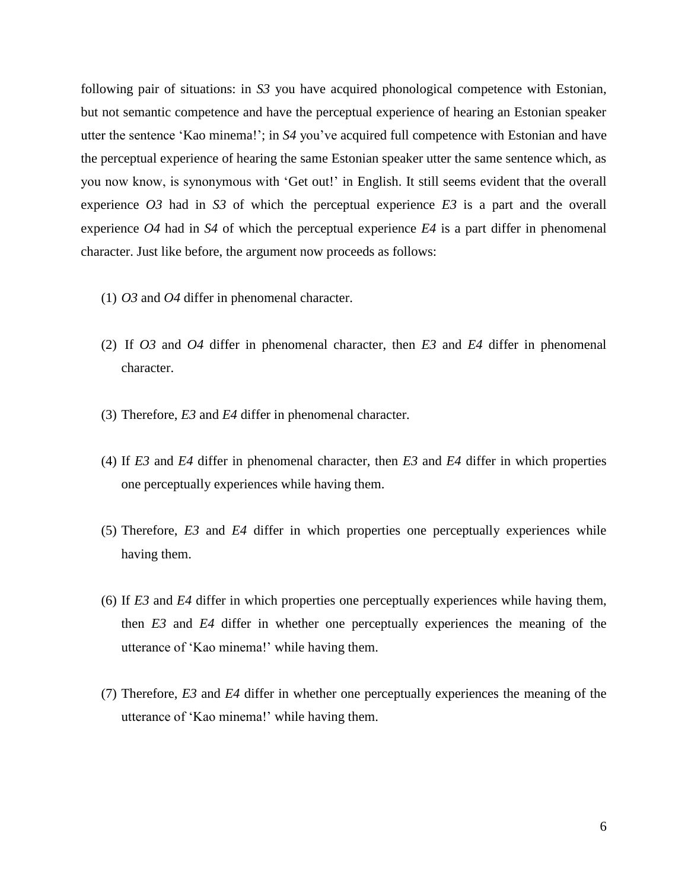following pair of situations: in *S3* you have acquired phonological competence with Estonian, but not semantic competence and have the perceptual experience of hearing an Estonian speaker utter the sentence 'Kao minema!'; in *S4* you've acquired full competence with Estonian and have the perceptual experience of hearing the same Estonian speaker utter the same sentence which, as you now know, is synonymous with 'Get out!' in English. It still seems evident that the overall experience *O3* had in *S3* of which the perceptual experience *E3* is a part and the overall experience *O4* had in *S4* of which the perceptual experience *E4* is a part differ in phenomenal character. Just like before, the argument now proceeds as follows:

- (1) *O3* and *O4* differ in phenomenal character.
- (2) If *O3* and *O4* differ in phenomenal character, then *E3* and *E4* differ in phenomenal character.
- (3) Therefore, *E3* and *E4* differ in phenomenal character.
- (4) If *E3* and *E4* differ in phenomenal character, then *E3* and *E4* differ in which properties one perceptually experiences while having them.
- (5) Therefore, *E3* and *E4* differ in which properties one perceptually experiences while having them.
- (6) If *E3* and *E4* differ in which properties one perceptually experiences while having them, then *E3* and *E4* differ in whether one perceptually experiences the meaning of the utterance of 'Kao minema!' while having them.
- (7) Therefore, *E3* and *E4* differ in whether one perceptually experiences the meaning of the utterance of 'Kao minema!' while having them.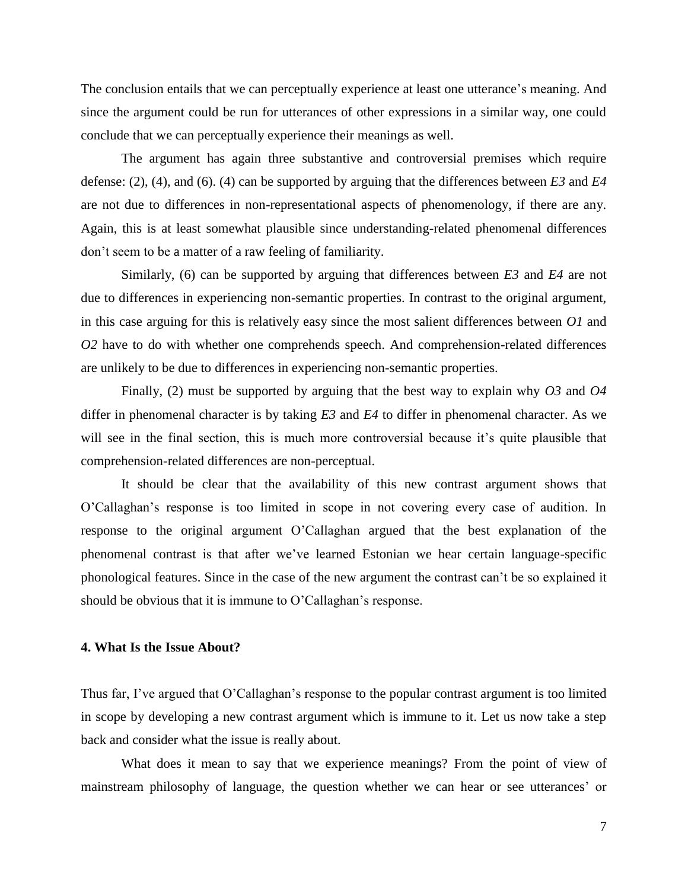The conclusion entails that we can perceptually experience at least one utterance's meaning. And since the argument could be run for utterances of other expressions in a similar way, one could conclude that we can perceptually experience their meanings as well.

The argument has again three substantive and controversial premises which require defense: (2), (4), and (6). (4) can be supported by arguing that the differences between *E3* and *E4* are not due to differences in non-representational aspects of phenomenology, if there are any. Again, this is at least somewhat plausible since understanding-related phenomenal differences don't seem to be a matter of a raw feeling of familiarity.

Similarly, (6) can be supported by arguing that differences between *E3* and *E4* are not due to differences in experiencing non-semantic properties. In contrast to the original argument, in this case arguing for this is relatively easy since the most salient differences between *O1* and *O2* have to do with whether one comprehends speech. And comprehension-related differences are unlikely to be due to differences in experiencing non-semantic properties.

Finally, (2) must be supported by arguing that the best way to explain why *O3* and *O4* differ in phenomenal character is by taking *E3* and *E4* to differ in phenomenal character. As we will see in the final section, this is much more controversial because it's quite plausible that comprehension-related differences are non-perceptual.

It should be clear that the availability of this new contrast argument shows that O'Callaghan's response is too limited in scope in not covering every case of audition. In response to the original argument O'Callaghan argued that the best explanation of the phenomenal contrast is that after we've learned Estonian we hear certain language-specific phonological features. Since in the case of the new argument the contrast can't be so explained it should be obvious that it is immune to O'Callaghan's response.

#### **4. What Is the Issue About?**

Thus far, I've argued that O'Callaghan's response to the popular contrast argument is too limited in scope by developing a new contrast argument which is immune to it. Let us now take a step back and consider what the issue is really about.

What does it mean to say that we experience meanings? From the point of view of mainstream philosophy of language, the question whether we can hear or see utterances' or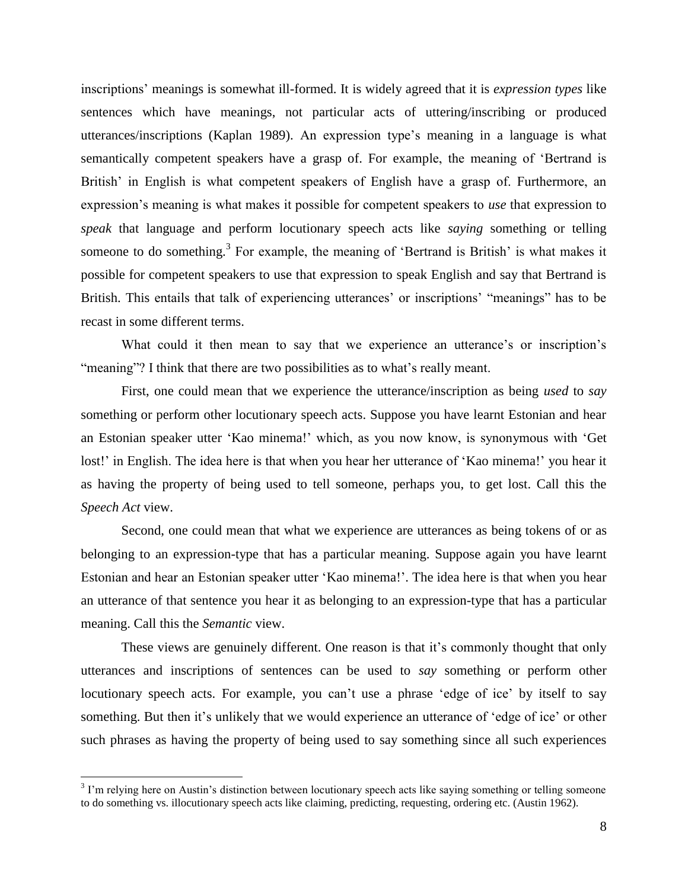inscriptions' meanings is somewhat ill-formed. It is widely agreed that it is *expression types* like sentences which have meanings, not particular acts of uttering/inscribing or produced utterances/inscriptions (Kaplan 1989). An expression type's meaning in a language is what semantically competent speakers have a grasp of. For example, the meaning of 'Bertrand is British' in English is what competent speakers of English have a grasp of. Furthermore, an expression's meaning is what makes it possible for competent speakers to *use* that expression to *speak* that language and perform locutionary speech acts like *saying* something or telling someone to do something.<sup>3</sup> For example, the meaning of 'Bertrand is British' is what makes it possible for competent speakers to use that expression to speak English and say that Bertrand is British. This entails that talk of experiencing utterances' or inscriptions' "meanings" has to be recast in some different terms.

What could it then mean to say that we experience an utterance's or inscription's "meaning"? I think that there are two possibilities as to what's really meant.

First, one could mean that we experience the utterance/inscription as being *used* to *say* something or perform other locutionary speech acts. Suppose you have learnt Estonian and hear an Estonian speaker utter 'Kao minema!' which, as you now know, is synonymous with 'Get lost!' in English. The idea here is that when you hear her utterance of 'Kao minema!' you hear it as having the property of being used to tell someone, perhaps you, to get lost. Call this the *Speech Act* view.

Second, one could mean that what we experience are utterances as being tokens of or as belonging to an expression-type that has a particular meaning. Suppose again you have learnt Estonian and hear an Estonian speaker utter 'Kao minema!'. The idea here is that when you hear an utterance of that sentence you hear it as belonging to an expression-type that has a particular meaning. Call this the *Semantic* view.

These views are genuinely different. One reason is that it's commonly thought that only utterances and inscriptions of sentences can be used to *say* something or perform other locutionary speech acts. For example, you can't use a phrase 'edge of ice' by itself to say something. But then it's unlikely that we would experience an utterance of 'edge of ice' or other such phrases as having the property of being used to say something since all such experiences

 $\overline{a}$ 

 $3$  I'm relying here on Austin's distinction between locutionary speech acts like saying something or telling someone to do something vs. illocutionary speech acts like claiming, predicting, requesting, ordering etc. (Austin 1962).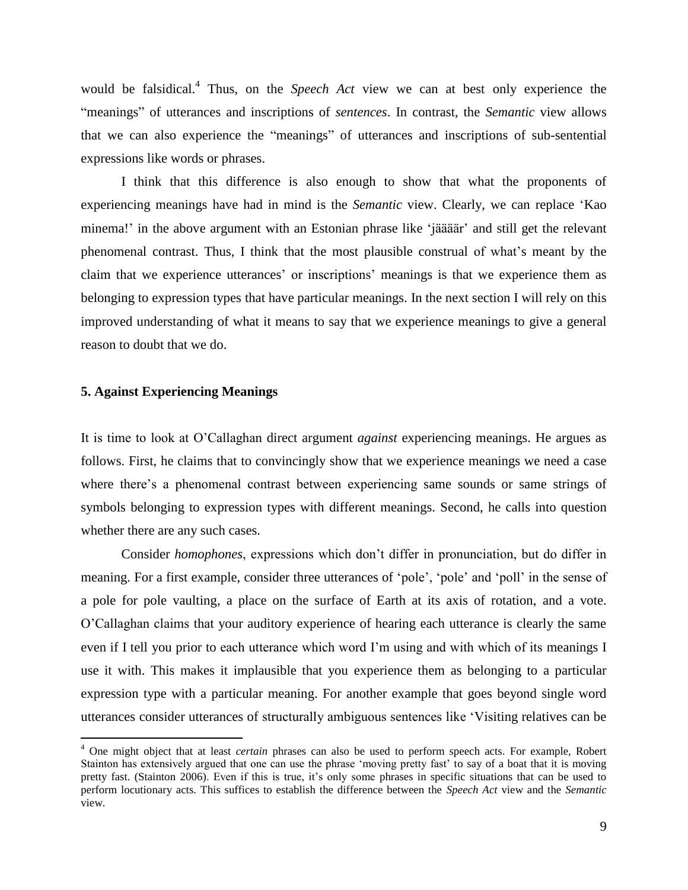would be falsidical.<sup>4</sup> Thus, on the *Speech Act* view we can at best only experience the "meanings" of utterances and inscriptions of *sentences*. In contrast, the *Semantic* view allows that we can also experience the "meanings" of utterances and inscriptions of sub-sentential expressions like words or phrases.

I think that this difference is also enough to show that what the proponents of experiencing meanings have had in mind is the *Semantic* view. Clearly, we can replace 'Kao minema!' in the above argument with an Estonian phrase like 'jäääär' and still get the relevant phenomenal contrast. Thus, I think that the most plausible construal of what's meant by the claim that we experience utterances' or inscriptions' meanings is that we experience them as belonging to expression types that have particular meanings. In the next section I will rely on this improved understanding of what it means to say that we experience meanings to give a general reason to doubt that we do.

## **5. Against Experiencing Meanings**

 $\overline{a}$ 

It is time to look at O'Callaghan direct argument *against* experiencing meanings. He argues as follows. First, he claims that to convincingly show that we experience meanings we need a case where there's a phenomenal contrast between experiencing same sounds or same strings of symbols belonging to expression types with different meanings. Second, he calls into question whether there are any such cases.

Consider *homophones*, expressions which don't differ in pronunciation, but do differ in meaning. For a first example, consider three utterances of 'pole', 'pole' and 'poll' in the sense of a pole for pole vaulting, a place on the surface of Earth at its axis of rotation, and a vote. O'Callaghan claims that your auditory experience of hearing each utterance is clearly the same even if I tell you prior to each utterance which word I'm using and with which of its meanings I use it with. This makes it implausible that you experience them as belonging to a particular expression type with a particular meaning. For another example that goes beyond single word utterances consider utterances of structurally ambiguous sentences like 'Visiting relatives can be

<sup>4</sup> One might object that at least *certain* phrases can also be used to perform speech acts. For example, Robert Stainton has extensively argued that one can use the phrase 'moving pretty fast' to say of a boat that it is moving pretty fast. (Stainton 2006). Even if this is true, it's only some phrases in specific situations that can be used to perform locutionary acts. This suffices to establish the difference between the *Speech Act* view and the *Semantic* view.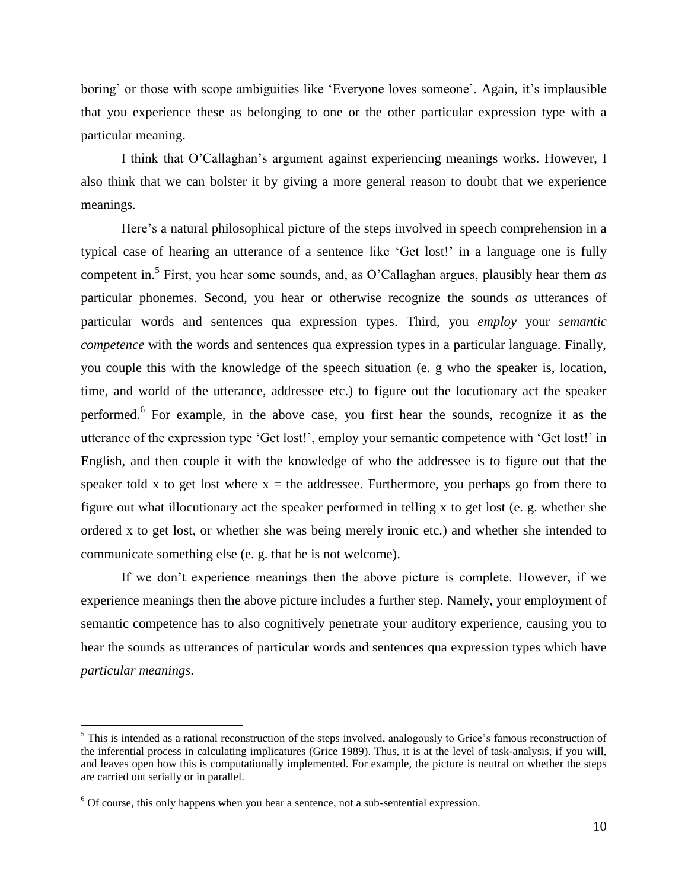boring' or those with scope ambiguities like 'Everyone loves someone'. Again, it's implausible that you experience these as belonging to one or the other particular expression type with a particular meaning.

I think that O'Callaghan's argument against experiencing meanings works. However, I also think that we can bolster it by giving a more general reason to doubt that we experience meanings.

Here's a natural philosophical picture of the steps involved in speech comprehension in a typical case of hearing an utterance of a sentence like 'Get lost!' in a language one is fully competent in. 5 First, you hear some sounds, and, as O'Callaghan argues, plausibly hear them *as* particular phonemes. Second, you hear or otherwise recognize the sounds *as* utterances of particular words and sentences qua expression types. Third, you *employ* your *semantic competence* with the words and sentences qua expression types in a particular language. Finally, you couple this with the knowledge of the speech situation (e. g who the speaker is, location, time, and world of the utterance, addressee etc.) to figure out the locutionary act the speaker performed.<sup>6</sup> For example, in the above case, you first hear the sounds, recognize it as the utterance of the expression type 'Get lost!', employ your semantic competence with 'Get lost!' in English, and then couple it with the knowledge of who the addressee is to figure out that the speaker told x to get lost where  $x =$  the addressee. Furthermore, you perhaps go from there to figure out what illocutionary act the speaker performed in telling x to get lost (e. g. whether she ordered x to get lost, or whether she was being merely ironic etc.) and whether she intended to communicate something else (e. g. that he is not welcome).

If we don't experience meanings then the above picture is complete. However, if we experience meanings then the above picture includes a further step. Namely, your employment of semantic competence has to also cognitively penetrate your auditory experience, causing you to hear the sounds as utterances of particular words and sentences qua expression types which have *particular meanings*.

 $\overline{a}$ 

<sup>&</sup>lt;sup>5</sup> This is intended as a rational reconstruction of the steps involved, analogously to Grice's famous reconstruction of the inferential process in calculating implicatures (Grice 1989). Thus, it is at the level of task-analysis, if you will, and leaves open how this is computationally implemented. For example, the picture is neutral on whether the steps are carried out serially or in parallel.

 $6$  Of course, this only happens when you hear a sentence, not a sub-sentential expression.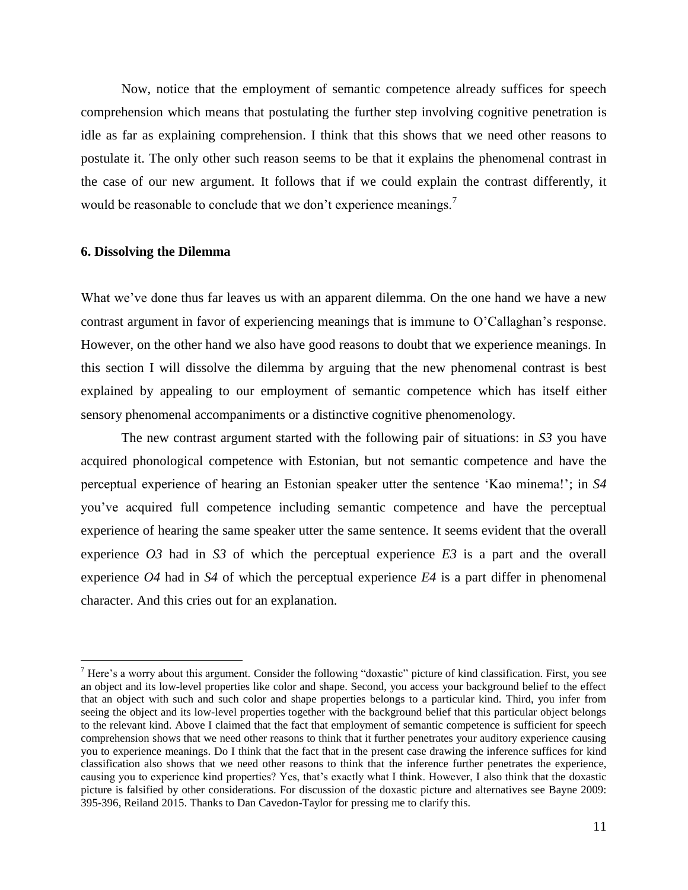Now, notice that the employment of semantic competence already suffices for speech comprehension which means that postulating the further step involving cognitive penetration is idle as far as explaining comprehension. I think that this shows that we need other reasons to postulate it. The only other such reason seems to be that it explains the phenomenal contrast in the case of our new argument. It follows that if we could explain the contrast differently, it would be reasonable to conclude that we don't experience meanings.<sup>7</sup>

#### **6. Dissolving the Dilemma**

 $\overline{a}$ 

What we've done thus far leaves us with an apparent dilemma. On the one hand we have a new contrast argument in favor of experiencing meanings that is immune to O'Callaghan's response. However, on the other hand we also have good reasons to doubt that we experience meanings. In this section I will dissolve the dilemma by arguing that the new phenomenal contrast is best explained by appealing to our employment of semantic competence which has itself either sensory phenomenal accompaniments or a distinctive cognitive phenomenology.

The new contrast argument started with the following pair of situations: in *S3* you have acquired phonological competence with Estonian, but not semantic competence and have the perceptual experience of hearing an Estonian speaker utter the sentence 'Kao minema!'; in *S4* you've acquired full competence including semantic competence and have the perceptual experience of hearing the same speaker utter the same sentence. It seems evident that the overall experience *O3* had in *S3* of which the perceptual experience *E3* is a part and the overall experience *O4* had in *S4* of which the perceptual experience *E4* is a part differ in phenomenal character. And this cries out for an explanation.

 $<sup>7</sup>$  Here's a worry about this argument. Consider the following "doxastic" picture of kind classification. First, you see</sup> an object and its low-level properties like color and shape. Second, you access your background belief to the effect that an object with such and such color and shape properties belongs to a particular kind. Third, you infer from seeing the object and its low-level properties together with the background belief that this particular object belongs to the relevant kind. Above I claimed that the fact that employment of semantic competence is sufficient for speech comprehension shows that we need other reasons to think that it further penetrates your auditory experience causing you to experience meanings. Do I think that the fact that in the present case drawing the inference suffices for kind classification also shows that we need other reasons to think that the inference further penetrates the experience, causing you to experience kind properties? Yes, that's exactly what I think. However, I also think that the doxastic picture is falsified by other considerations. For discussion of the doxastic picture and alternatives see Bayne 2009: 395-396, Reiland 2015. Thanks to Dan Cavedon-Taylor for pressing me to clarify this.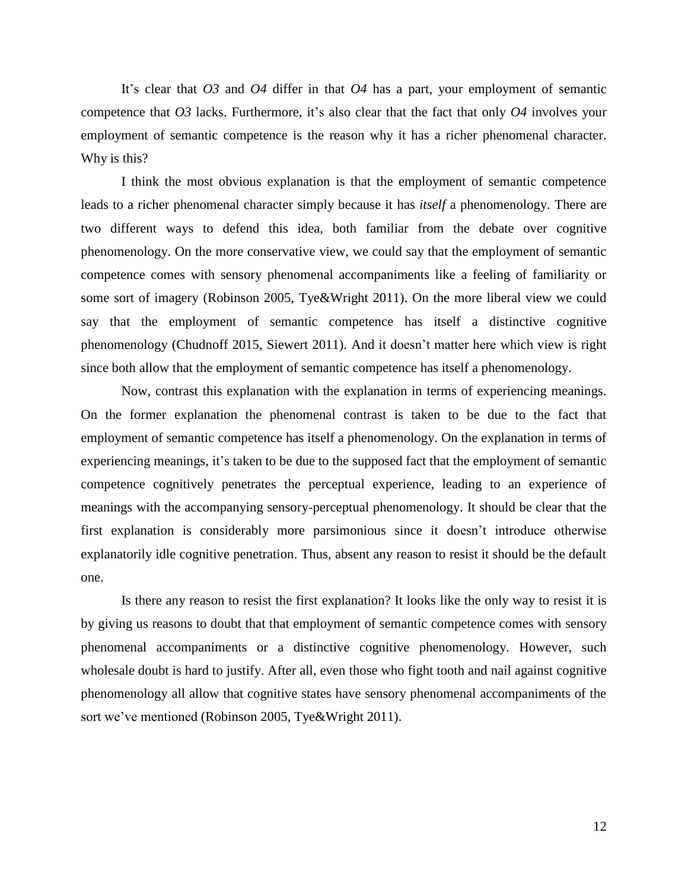It's clear that *O3* and *O4* differ in that *O4* has a part, your employment of semantic competence that *O3* lacks. Furthermore, it's also clear that the fact that only *O4* involves your employment of semantic competence is the reason why it has a richer phenomenal character. Why is this?

I think the most obvious explanation is that the employment of semantic competence leads to a richer phenomenal character simply because it has *itself* a phenomenology. There are two different ways to defend this idea, both familiar from the debate over cognitive phenomenology. On the more conservative view, we could say that the employment of semantic competence comes with sensory phenomenal accompaniments like a feeling of familiarity or some sort of imagery (Robinson 2005, Tye&Wright 2011). On the more liberal view we could say that the employment of semantic competence has itself a distinctive cognitive phenomenology (Chudnoff 2015, Siewert 2011). And it doesn't matter here which view is right since both allow that the employment of semantic competence has itself a phenomenology.

Now, contrast this explanation with the explanation in terms of experiencing meanings. On the former explanation the phenomenal contrast is taken to be due to the fact that employment of semantic competence has itself a phenomenology. On the explanation in terms of experiencing meanings, it's taken to be due to the supposed fact that the employment of semantic competence cognitively penetrates the perceptual experience, leading to an experience of meanings with the accompanying sensory-perceptual phenomenology. It should be clear that the first explanation is considerably more parsimonious since it doesn't introduce otherwise explanatorily idle cognitive penetration. Thus, absent any reason to resist it should be the default one.

Is there any reason to resist the first explanation? It looks like the only way to resist it is by giving us reasons to doubt that that employment of semantic competence comes with sensory phenomenal accompaniments or a distinctive cognitive phenomenology. However, such wholesale doubt is hard to justify. After all, even those who fight tooth and nail against cognitive phenomenology all allow that cognitive states have sensory phenomenal accompaniments of the sort we've mentioned (Robinson 2005, Tye&Wright 2011).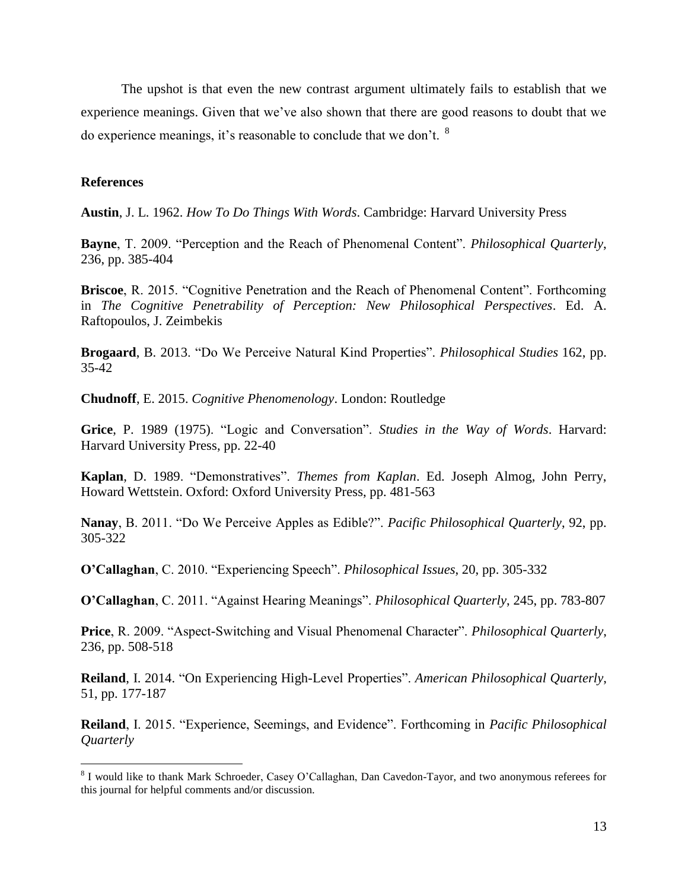The upshot is that even the new contrast argument ultimately fails to establish that we experience meanings. Given that we've also shown that there are good reasons to doubt that we do experience meanings, it's reasonable to conclude that we don't. <sup>8</sup>

## **References**

 $\overline{a}$ 

**Austin**, J. L. 1962. *How To Do Things With Words*. Cambridge: Harvard University Press

**Bayne**, T. 2009. "Perception and the Reach of Phenomenal Content". *Philosophical Quarterly*, 236, pp. 385-404

**Briscoe**, R. 2015. "Cognitive Penetration and the Reach of Phenomenal Content". Forthcoming in *The Cognitive Penetrability of Perception: New Philosophical Perspectives*. Ed. A. Raftopoulos, J. Zeimbekis

**Brogaard**, B. 2013. "Do We Perceive Natural Kind Properties". *Philosophical Studies* 162, pp. 35-42

**Chudnoff**, E. 2015. *Cognitive Phenomenology*. London: Routledge

**Grice**, P. 1989 (1975). "Logic and Conversation". *Studies in the Way of Words*. Harvard: Harvard University Press, pp. 22-40

**Kaplan**, D. 1989. "Demonstratives". *Themes from Kaplan*. Ed. Joseph Almog, John Perry, Howard Wettstein. Oxford: Oxford University Press, pp. 481-563

**Nanay**, B. 2011. "Do We Perceive Apples as Edible?". *Pacific Philosophical Quarterly*, 92, pp. 305-322

**O'Callaghan**, C. 2010. "Experiencing Speech". *Philosophical Issues*, 20, pp. 305-332

**O'Callaghan**, C. 2011. "Against Hearing Meanings". *Philosophical Quarterly*, 245, pp. 783-807

**Price**, R. 2009. "Aspect-Switching and Visual Phenomenal Character". *Philosophical Quarterly*, 236, pp. 508-518

**Reiland**, I. 2014. "On Experiencing High-Level Properties". *American Philosophical Quarterly*, 51, pp. 177-187

**Reiland**, I. 2015. "Experience, Seemings, and Evidence". Forthcoming in *Pacific Philosophical Quarterly*

<sup>&</sup>lt;sup>8</sup> I would like to thank Mark Schroeder, Casey O'Callaghan, Dan Cavedon-Tayor, and two anonymous referees for this journal for helpful comments and/or discussion.